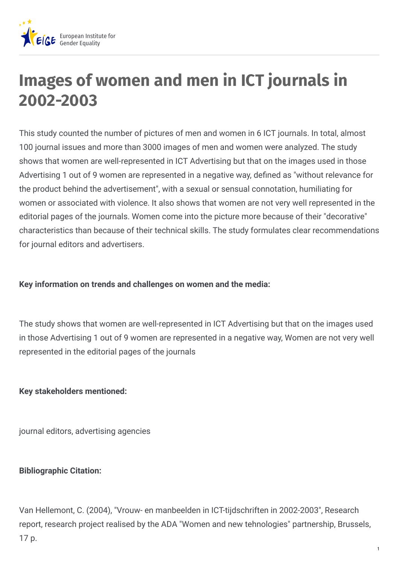

# **Images of women and men in ICT journals in 2002-2003**

This study counted the number of pictures of men and women in 6 ICT journals. In total, almost 100 journal issues and more than 3000 images of men and women were analyzed. The study shows that women are well-represented in ICT Advertising but that on the images used in those Advertising 1 out of 9 women are represented in a negative way, defined as "without relevance for the product behind the advertisement", with a sexual or sensual connotation, humiliating for women or associated with violence. It also shows that women are not very well represented in the editorial pages of the journals. Women come into the picture more because of their "decorative" characteristics than because of their technical skills. The study formulates clear recommendations for journal editors and advertisers.

#### **Key information on trends and challenges on women and the media:**

The study shows that women are well-represented in ICT Advertising but that on the images used in those Advertising 1 out of 9 women are represented in a negative way, Women are not very well represented in the editorial pages of the journals

#### **Key stakeholders mentioned:**

journal editors, advertising agencies

#### **Bibliographic Citation:**

Van Hellemont, C. (2004), "Vrouw- en manbeelden in ICT-tijdschriften in 2002-2003", Research report, research project realised by the ADA "Women and new tehnologies" partnership, Brussels, 17 p.